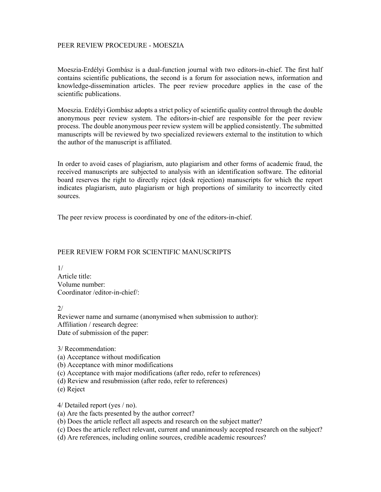## PEER REVIEW PROCEDURE - MOESZIA

Moeszia-Erdélyi Gombász is a dual-function journal with two editors-in-chief. The first half contains scientific publications, the second is a forum for association news, information and knowledge-dissemination articles. The peer review procedure applies in the case of the scientific publications.

Moeszia. Erdélyi Gombász adopts a strict policy of scientific quality control through the double anonymous peer review system. The editors-in-chief are responsible for the peer review process. The double anonymous peer review system will be applied consistently. The submitted manuscripts will be reviewed by two specialized reviewers external to the institution to which the author of the manuscript is affiliated.

In order to avoid cases of plagiarism, auto plagiarism and other forms of academic fraud, the received manuscripts are subjected to analysis with an identification software. The editorial board reserves the right to directly reject (desk rejection) manuscripts for which the report indicates plagiarism, auto plagiarism or high proportions of similarity to incorrectly cited sources.

The peer review process is coordinated by one of the editors-in-chief.

## PEER REVIEW FORM FOR SCIENTIFIC MANUSCRIPTS

1/ Article title: Volume number: Coordinator /editor-in-chief/:

2/

Reviewer name and surname (anonymised when submission to author): Affiliation / research degree: Date of submission of the paper:

3/ Recommendation:

(a) Acceptance without modification

(b) Acceptance with minor modifications

(c) Acceptance with major modifications (after redo, refer to references)

(d) Review and resubmission (after redo, refer to references)

(e) Reject

4/ Detailed report (yes / no).

(a) Are the facts presented by the author correct?

(b) Does the article reflect all aspects and research on the subject matter?

(c) Does the article reflect relevant, current and unanimously accepted research on the subject?

(d) Are references, including online sources, credible academic resources?